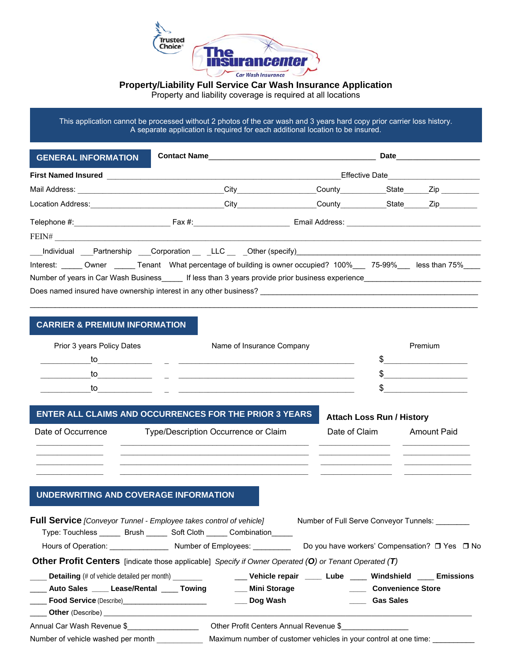

### **Property/Liability Full Service Car Wash Insurance Application**

Property and liability coverage is required at all locations

This application cannot be processed without 2 photos of the car wash and 3 years hard copy prior carrier loss history. A separate application is required for each additional location to be insured.

| <b>GENERAL INFORMATION</b>                                                                       |      | <b>Date</b>                   |                   |
|--------------------------------------------------------------------------------------------------|------|-------------------------------|-------------------|
| <b>First Named Insured</b>                                                                       |      | Effective Date <b>Example</b> |                   |
| Mail Address: <u>_______________________________</u>                                             | City |                               | County State Zip  |
| Location Address:                                                                                | City | County State                  | Zip <sub>ra</sub> |
| Telephone #: Example 2014 Telephone #: Example 2014 Telephone #: Email Address:<br>FENH          |      |                               |                   |
| Individual Partnership Corporation LLC Other (specify)                                           |      |                               |                   |
| Interest: Owner Tenant What percentage of building is owner occupied? 100% 75-99% less than 75%  |      |                               |                   |
| Number of years in Car Wash Business [15] If less than 3 years provide prior business experience |      |                               |                   |
| Does named insured have ownership interest in any other business?                                |      |                               |                   |

### **CARRIER & PREMIUM INFORMATION**

| Prior 3 years Policy Dates | Name of Insurance Company | Premium |
|----------------------------|---------------------------|---------|
| to                         |                           |         |
| to                         |                           |         |
| tΩ                         |                           |         |

 $\frac{1}{2}$  ,  $\frac{1}{2}$  ,  $\frac{1}{2}$  ,  $\frac{1}{2}$  ,  $\frac{1}{2}$  ,  $\frac{1}{2}$  ,  $\frac{1}{2}$  ,  $\frac{1}{2}$  ,  $\frac{1}{2}$  ,  $\frac{1}{2}$  ,  $\frac{1}{2}$  ,  $\frac{1}{2}$  ,  $\frac{1}{2}$  ,  $\frac{1}{2}$  ,  $\frac{1}{2}$  ,  $\frac{1}{2}$  ,  $\frac{1}{2}$  ,  $\frac{1}{2}$  ,  $\frac{1$  $\frac{1}{2}$  ,  $\frac{1}{2}$  ,  $\frac{1}{2}$  ,  $\frac{1}{2}$  ,  $\frac{1}{2}$  ,  $\frac{1}{2}$  ,  $\frac{1}{2}$  ,  $\frac{1}{2}$  ,  $\frac{1}{2}$  ,  $\frac{1}{2}$  ,  $\frac{1}{2}$  ,  $\frac{1}{2}$  ,  $\frac{1}{2}$  ,  $\frac{1}{2}$  ,  $\frac{1}{2}$  ,  $\frac{1}{2}$  ,  $\frac{1}{2}$  ,  $\frac{1}{2}$  ,  $\frac{1$ 

\_\_\_\_\_\_\_\_\_\_\_\_\_\_\_\_\_\_\_\_\_\_\_\_\_\_\_\_\_\_\_\_\_\_\_\_\_\_\_\_\_\_\_\_\_\_\_\_\_\_\_\_\_\_\_\_\_\_\_\_\_\_\_\_\_\_\_\_\_\_\_\_\_\_\_\_\_\_\_\_\_\_\_\_\_\_\_\_\_\_\_\_\_\_\_\_\_\_\_\_\_\_\_\_\_\_\_

# **ENTER ALL CLAIMS AND OCCURRENCES FOR THE PRIOR 3 YEARS Attach Loss Run / History**

Date of Occurrence Type/Description Occurrence or Claim  $\frac{1}{2}$  ,  $\frac{1}{2}$  ,  $\frac{1}{2}$  ,  $\frac{1}{2}$  ,  $\frac{1}{2}$  ,  $\frac{1}{2}$  ,  $\frac{1}{2}$  ,  $\frac{1}{2}$  ,  $\frac{1}{2}$  ,  $\frac{1}{2}$  ,  $\frac{1}{2}$  ,  $\frac{1}{2}$  ,  $\frac{1}{2}$  ,  $\frac{1}{2}$  ,  $\frac{1}{2}$  ,  $\frac{1}{2}$  ,  $\frac{1}{2}$  ,  $\frac{1}{2}$  ,  $\frac{1$  $\frac{1}{2}$  ,  $\frac{1}{2}$  ,  $\frac{1}{2}$  ,  $\frac{1}{2}$  ,  $\frac{1}{2}$  ,  $\frac{1}{2}$  ,  $\frac{1}{2}$  ,  $\frac{1}{2}$  ,  $\frac{1}{2}$  ,  $\frac{1}{2}$  ,  $\frac{1}{2}$  ,  $\frac{1}{2}$  ,  $\frac{1}{2}$  ,  $\frac{1}{2}$  ,  $\frac{1}{2}$  ,  $\frac{1}{2}$  ,  $\frac{1}{2}$  ,  $\frac{1}{2}$  ,  $\frac{1$ 

|   | ARROLL LOSS RUIT / THSROLY |             |  |
|---|----------------------------|-------------|--|
| m | Date of Claim              | Amount Paid |  |
|   |                            |             |  |

## **UNDERWRITING AND COVERAGE INFORMATION**

| <b>Full Service</b> [Conveyor Tunnel - Employee takes control of vehicle]                                    |  |                                                                            | Number of Full Serve Conveyor Tunnels: ________                       |  |
|--------------------------------------------------------------------------------------------------------------|--|----------------------------------------------------------------------------|-----------------------------------------------------------------------|--|
|                                                                                                              |  | Type: Touchless _______ Brush _______ Soft Cloth ______ Combination ______ |                                                                       |  |
|                                                                                                              |  |                                                                            | Do you have workers' Compensation? □ Yes □ No                         |  |
| <b>Other Profit Centers</b> [indicate those applicable] Specify if Owner Operated (O) or Tenant Operated (T) |  |                                                                            |                                                                       |  |
| <b>Detailing</b> (# of vehicle detailed per month)                                                           |  |                                                                            | ___ Vehicle repair ____ Lube ____ Windshield ___ Emissions            |  |
| <b>Auto Sales</b> ____ Lease/Rental ____ Towing                                                              |  |                                                                            | <b>EXECUTE:</b> Mini Storage <b>COLOGY CONVENTS</b> Convenience Store |  |
| <b>Food Service</b> (Describe)<br><b>Example 2018</b>                                                        |  | ___ Dog Wash                                                               | <b>Example 3 Gas Sales</b>                                            |  |
| <b>Other</b> (Describe) <b>COLOREY (Describe) COLOREY (Describe)</b>                                         |  |                                                                            |                                                                       |  |
| Annual Car Wash Revenue \$                                                                                   |  | Other Profit Centers Annual Revenue \$                                     |                                                                       |  |

Number of vehicle washed per month \_\_\_\_\_\_\_\_\_\_\_\_\_\_\_\_ Maximum number of customer vehicles in your control at one time: \_\_\_\_\_\_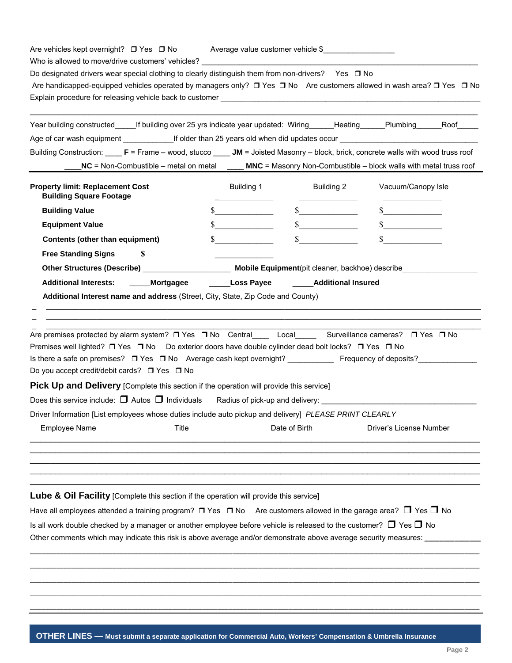| Premises well lighted? □ Yes □ No Do exterior doors have double cylinder dead bolt locks? □ Yes □ No<br>Do you accept credit/debit cards? □ Yes □ No<br><b>Pick Up and Delivery</b> [Complete this section if the operation will provide this service]<br>Does this service include: $\Box$ Autos $\Box$ Individuals Radius of pick-up and delivery:<br>Driver Information [List employees whose duties include auto pickup and delivery] PLEASE PRINT CLEARLY<br><b>Employee Name</b><br>Title<br>Lube & Oil Facility [Complete this section if the operation will provide this service]<br>Have all employees attended a training program? $\Box$ Yes $\Box$ No Are customers allowed in the garage area? $\Box$ Yes $\Box$ No |                   | Date of Birth               | Driver's License Number     |  |
|----------------------------------------------------------------------------------------------------------------------------------------------------------------------------------------------------------------------------------------------------------------------------------------------------------------------------------------------------------------------------------------------------------------------------------------------------------------------------------------------------------------------------------------------------------------------------------------------------------------------------------------------------------------------------------------------------------------------------------|-------------------|-----------------------------|-----------------------------|--|
|                                                                                                                                                                                                                                                                                                                                                                                                                                                                                                                                                                                                                                                                                                                                  |                   |                             |                             |  |
|                                                                                                                                                                                                                                                                                                                                                                                                                                                                                                                                                                                                                                                                                                                                  |                   |                             |                             |  |
|                                                                                                                                                                                                                                                                                                                                                                                                                                                                                                                                                                                                                                                                                                                                  |                   |                             |                             |  |
|                                                                                                                                                                                                                                                                                                                                                                                                                                                                                                                                                                                                                                                                                                                                  |                   |                             |                             |  |
|                                                                                                                                                                                                                                                                                                                                                                                                                                                                                                                                                                                                                                                                                                                                  |                   |                             |                             |  |
|                                                                                                                                                                                                                                                                                                                                                                                                                                                                                                                                                                                                                                                                                                                                  |                   |                             |                             |  |
|                                                                                                                                                                                                                                                                                                                                                                                                                                                                                                                                                                                                                                                                                                                                  |                   |                             |                             |  |
| Are premises protected by alarm system? □ Yes □ No Central ___ Local ___ Surveillance cameras? □ Yes □ No                                                                                                                                                                                                                                                                                                                                                                                                                                                                                                                                                                                                                        |                   |                             |                             |  |
| Additional Interest name and address (Street, City, State, Zip Code and County)                                                                                                                                                                                                                                                                                                                                                                                                                                                                                                                                                                                                                                                  |                   |                             |                             |  |
| <b>Additional Interests:</b><br>_____Mortgagee                                                                                                                                                                                                                                                                                                                                                                                                                                                                                                                                                                                                                                                                                   | <b>Loss Payee</b> | <b>Additional Insured</b>   |                             |  |
| Other Structures (Describe) <b>Mobile Equipment</b> (pit cleaner, backhoe) describe                                                                                                                                                                                                                                                                                                                                                                                                                                                                                                                                                                                                                                              |                   |                             |                             |  |
| <b>Free Standing Signs</b><br>S                                                                                                                                                                                                                                                                                                                                                                                                                                                                                                                                                                                                                                                                                                  |                   |                             |                             |  |
| <b>Contents (other than equipment)</b>                                                                                                                                                                                                                                                                                                                                                                                                                                                                                                                                                                                                                                                                                           |                   |                             |                             |  |
| <b>Equipment Value</b>                                                                                                                                                                                                                                                                                                                                                                                                                                                                                                                                                                                                                                                                                                           | $\sim$            | $\frac{\text{S}}{\text{S}}$ | $\frac{\text{S}}{\text{S}}$ |  |
| <b>Building Value</b>                                                                                                                                                                                                                                                                                                                                                                                                                                                                                                                                                                                                                                                                                                            | $\sim$ $\sim$     | $\sim$                      | $\sim$                      |  |
| <b>Property limit: Replacement Cost</b><br><b>Building Square Footage</b>                                                                                                                                                                                                                                                                                                                                                                                                                                                                                                                                                                                                                                                        | Building 1        | Building 2                  | Vacuum/Canopy Isle          |  |
| NC = Non-Combustible - metal on metal ______ MNC = Masonry Non-Combustible - block walls with metal truss roof                                                                                                                                                                                                                                                                                                                                                                                                                                                                                                                                                                                                                   |                   |                             |                             |  |
| Building Construction: F = Frame – wood, stucco JM = Joisted Masonry – block, brick, concrete walls with wood truss roof                                                                                                                                                                                                                                                                                                                                                                                                                                                                                                                                                                                                         |                   |                             |                             |  |
| Age of car wash equipment _______________If older than 25 years old when did updates occur                                                                                                                                                                                                                                                                                                                                                                                                                                                                                                                                                                                                                                       |                   |                             |                             |  |
| Year building constructed_______If building over 25 yrs indicate year updated: Wiring_______Heating______Plumbing_______Roof______                                                                                                                                                                                                                                                                                                                                                                                                                                                                                                                                                                                               |                   |                             |                             |  |
|                                                                                                                                                                                                                                                                                                                                                                                                                                                                                                                                                                                                                                                                                                                                  |                   |                             |                             |  |
| Are handicapped-equipped vehicles operated by managers only? □ Yes □ No Are customers allowed in wash area? □ Yes □ No                                                                                                                                                                                                                                                                                                                                                                                                                                                                                                                                                                                                           |                   |                             |                             |  |

 $\_$  , and the set of the set of the set of the set of the set of the set of the set of the set of the set of the set of the set of the set of the set of the set of the set of the set of the set of the set of the set of th \_\_\_\_\_\_\_\_\_\_\_\_\_\_\_\_\_\_\_\_\_\_\_\_\_\_\_\_\_\_\_\_\_\_\_\_\_\_\_\_\_\_\_\_\_\_\_\_\_\_\_\_\_\_\_\_\_\_\_\_\_\_\_\_\_\_\_\_\_\_\_\_\_\_\_\_\_\_\_\_\_\_\_\_\_\_\_\_\_\_\_\_\_\_\_\_\_\_\_\_\_\_\_\_\_\_\_\_\_\_\_\_\_\_\_\_\_\_\_\_